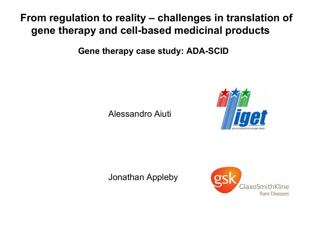#### **From regulation to reality – challenges in translation of gene therapy and cell-based medicinal products**

**Gene therapy case study: ADA-SCID** 

Alessandro Aiuti



Jonathan Appleby

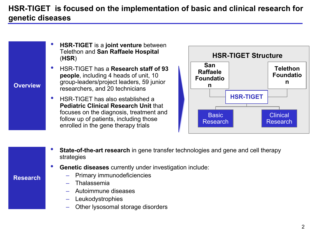#### **HSR-TIGET is focused on the implementation of basic and clinical research for genetic diseases**

• **HSR-TIGET** is a **joint venture** between Telethon and **San Raffaele Hospital**  (**HSR**)

- HSR-TIGET has a **Research staff of 93 people**, including 4 heads of unit, 10 group-leaders/project leaders, 59 junior researchers, and 20 technicians
- HSR-TIGET has also established a **Pediatric Clinical Research Unit** that focuses on the diagnosis, treatment and follow up of patients, including those enrolled in the gene therapy trials



- **State-of-the-art research** in gene transfer technologies and gene and cell therapy strategies
- **Genetic diseases** currently under investigation include:
	- Primary immunodeficiencies
	- **Thalassemia**

**Overview**

**Research**

- Autoimmune diseases
- **Leukodystrophies**
- Other lysosomal storage disorders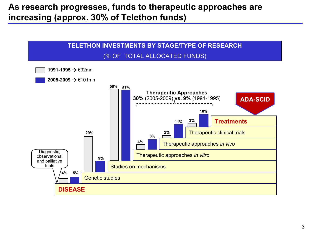#### **As research progresses, funds to therapeutic approaches are increasing (approx. 30% of Telethon funds)**

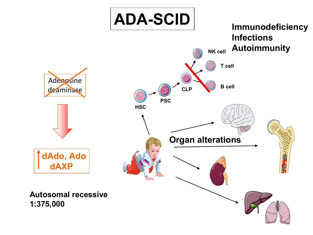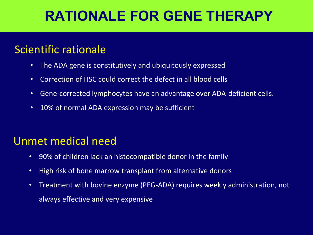# **RATIONALE FOR GENE THERAPY**

## Scientific rationale

- The ADA gene is constitutively and ubiquitously expressed
- Correction of HSC could correct the defect in all blood cells
- Gene-corrected lymphocytes have an advantage over ADA-deficient cells.
- 10% of normal ADA expression may be sufficient

### Unmet medical need

- 90% of children lack an histocompatible donor in the family
- High risk of bone marrow transplant from alternative donors
- Treatment with bovine enzyme (PEG-ADA) requires weekly administration, not always effective and very expensive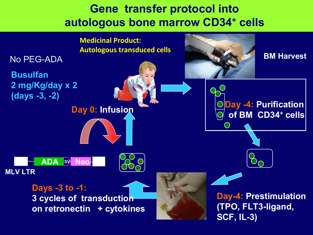### **Gene transfer protocol into autologous bone marrow CD34<sup>+</sup> cells**

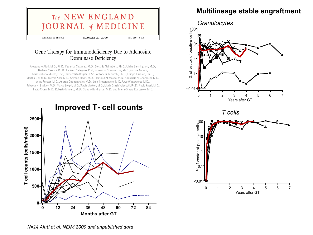#### The NEW ENGLAND **JOURNAL** of **MEDICINE** ESTABLISHED IN 1812 JANUARY 29, 2009 VOL. 360 NO. 5

#### Gene Therapy for Immunodeficiency Due to Adenosine Deaminase Deficiency

Alessandro Aiuti, M.D., Ph.D., Federica Cattaneo, M.D., Stefania Galimberti, Ph.D., Ulrike Benninghoff, M.D., Barbara Cassani, Ph.D., Luciano Callegaro, R.N., Samantha Scaramuzza, Ph.D., Grazia Andolfi, Massimiliano Mirolo, B.Sc., Immacolata Brigida, B.Sc., Antonella Tabucchi, Ph.D., Filippo Carlucci, Ph.D., Martha Eibl, M.D., Memet Aker, M.D., Shimon Slavin, M.D., Hamoud Al-Mousa, M.D., Abdulaziz Al Ghonaium, M.D., Alina Ferster, M.D., Andrea Duppenthaler, M.D., Luigi Notarangelo, M.D., Uwe Wintergerst, M.D., Rebecca H. Buckley, M.D., Marco Bregni, M.D., Sarah Marktel, M.D., Maria Grazia Valsecchi, Ph.D., Paolo Rossi, M.D., Fabio Ciceri, M.D., Roberto Miniero, M.D., Claudio Bordignon, M.D., and Maria-Grazia Roncarolo, M.D.



**Multilineage stable engraftment**



*N=14 Aiuti et al. NEJM 2009 and unpublished data*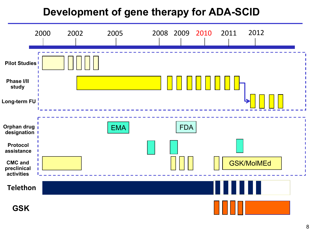## **Development of gene therapy for ADA-SCID**

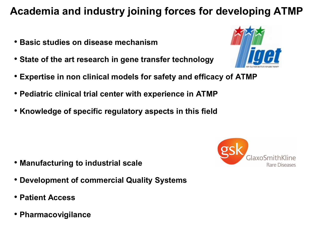#### **Academia and industry joining forces for developing ATMP**

- **Basic studies on disease mechanism**
- **State of the art research in gene transfer technology**
- **Expertise in non clinical models for safety and efficacy of ATMP**
- **Pediatric clinical trial center with experience in ATMP**
- **Knowledge of specific regulatory aspects in this field**

- **Manufacturing to industrial scale**
- **Development of commercial Quality Systems**
- **Patient Access**
- **Pharmacovigilance**





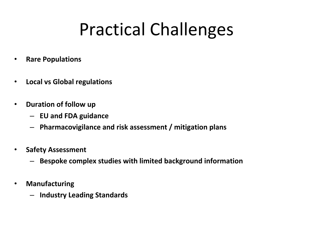# Practical Challenges

- **Rare Populations**
- **Local vs Global regulations**
- **Duration of follow up**
	- **EU and FDA guidance**
	- **Pharmacovigilance and risk assessment / mitigation plans**
- **Safety Assessment**
	- **Bespoke complex studies with limited background information**
- **Manufacturing**
	- **Industry Leading Standards**